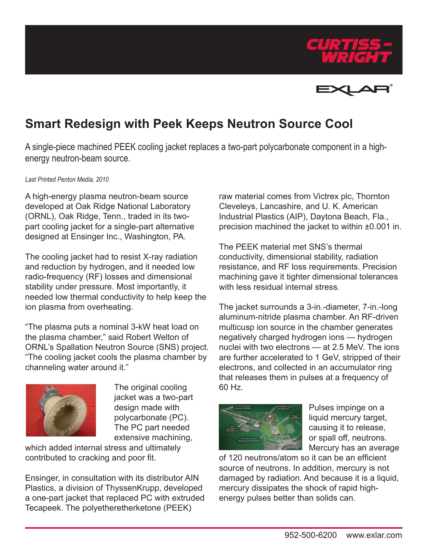



## **Smart Redesign with Peek Keeps Neutron Source Cool**

A single-piece machined PEEK cooling jacket replaces a two-part polycarbonate component in a highenergy neutron-beam source.

## *Last Printed Penton Media, 2010*

A high-energy plasma neutron-beam source developed at Oak Ridge National Laboratory (ORNL), Oak Ridge, Tenn., traded in its twopart cooling jacket for a single-part alternative designed at Ensinger Inc., Washington, PA.

The cooling jacket had to resist X-ray radiation and reduction by hydrogen, and it needed low radio-frequency (RF) losses and dimensional stability under pressure. Most importantly, it needed low thermal conductivity to help keep the ion plasma from overheating.

"The plasma puts a nominal 3-kW heat load on the plasma chamber," said Robert Welton of ORNL's Spallation Neutron Source (SNS) project. "The cooling jacket cools the plasma chamber by channeling water around it."



The original cooling jacket was a two-part design made with polycarbonate (PC). The PC part needed extensive machining,

which added internal stress and ultimately contributed to cracking and poor fit.

Ensinger, in consultation with its distributor AIN Plastics, a division of ThyssenKrupp, developed a one-part jacket that replaced PC with extruded Tecapeek. The polyetheretherketone (PEEK)

raw material comes from Victrex plc, Thornton Cleveleys, Lancashire, and U. K. American Industrial Plastics (AIP), Daytona Beach, Fla., precision machined the jacket to within ±0.001 in.

The PEEK material met SNS's thermal conductivity, dimensional stability, radiation resistance, and RF loss requirements. Precision machining gave it tighter dimensional tolerances with less residual internal stress.

The jacket surrounds a 3-in.-diameter, 7-in.-long aluminum-nitride plasma chamber. An RF-driven multicusp ion source in the chamber generates negatively charged hydrogen ions — hydrogen nuclei with two electrons — at 2.5 MeV. The ions are further accelerated to 1 GeV, stripped of their electrons, and collected in an accumulator ring that releases them in pulses at a frequency of 60 Hz.



Pulses impinge on a liquid mercury target, causing it to release, or spall off, neutrons. Mercury has an average

of 120 neutrons/atom so it can be an efficient source of neutrons. In addition, mercury is not damaged by radiation. And because it is a liquid, mercury dissipates the shock of rapid highenergy pulses better than solids can.